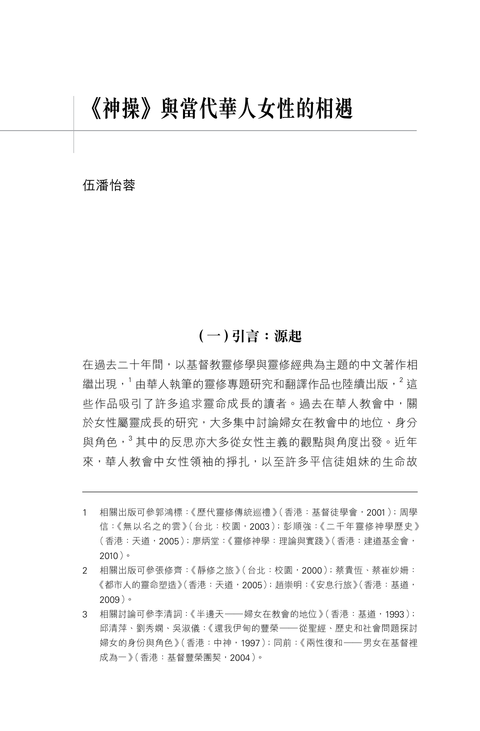# **《神操》與當代華人女性的相遇**

### 伍潘怡蓉

# **(一)引言:源起**

在過去二十年間,以基督教靈修學與靈修經典為主題的中文著作相 繼出現,<sup>1</sup> 由華人執筆的靈修專題研究和翻譯作品也陸續出版,<sup>2</sup> 狺 些作品吸引了許多追求靈命成長的讀者。過去在華人教會中,關 於女性屬靈成長的研究,大多集中討論婦女在教會中的地位、身分 與角色, $3$ 其中的反思亦大多從女性主義的觀點與角度出發。近年 來,華人教會中女性領袖的掙扎,以至許多平信徒姐妹的生命故

- 1 相關出版可參郭鴻標:《歷代靈修傳統巡禮》(香港:基督徒學會,2001);周學 信:《無以名之的雲》(台北:校園,2003);彭順強:《二千年靈修神學歷史》 (香港:天道,2005);廖炳堂:《靈修神學:理論與實踐》(香港:建道基金會, 2010)。
- 2 相關出版可參張修齊:《靜修之旅》(台北:校園,2000);蔡貴恆、蔡崔妙姍: 《都市人的靈命塑造》(香港:天道,2005); 趙崇明:《安息行旅》(香港: 基道, 2009)。
- 3 相關討論可參李清詞:《半邊天——婦女在教會的地位》(香港:基道,1993); 邱清萍、劉秀嫻、吳淑儀:《還我伊甸的豐榮——從聖經、歷史和社會問題探討 婦女的身份與角色》(香港:中神,1997);同前:《兩性復和——男女在基督裡 成為一》(香港:基督豐榮團契,2004)。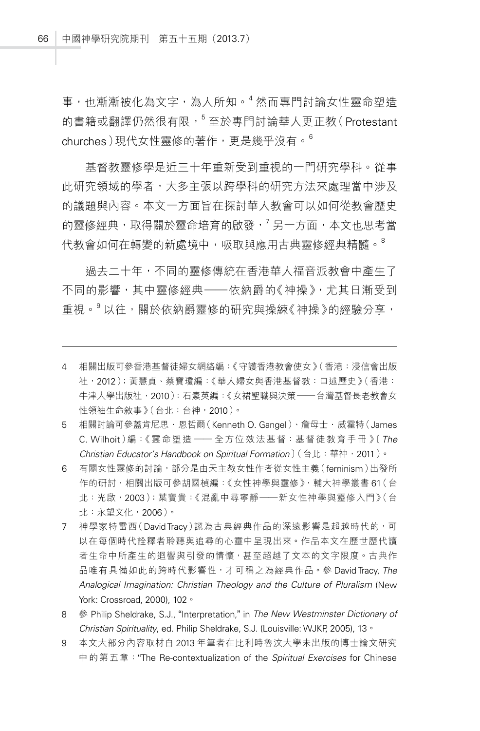事,也漸漸被化為文字,為人所知。<sup>4</sup> 然而專門討論女性靈命塑造 的書籍或翻譯仍然很有限,<sup>5</sup>至於專門討論華人更正教(Protestant churches)現代女性靈修的著作,更是幾乎沒有。<sup>6</sup>

基督教靈修學是近三十年重新受到重視的一門研究學科。從事 此研究領域的學者,大多主張以跨學科的研究方法來處理當中涉及 的議題與內容。本文一方面旨在探討華人教會可以如何從教會歷史 的靈修經典,取得關於靈命培育的啟發, <sup>7</sup>另一方面, 本文也思考當 代教會如何在轉變的新處境中,吸取與應用古典靈修經典精髓。<sup>8</sup>

過去二十年,不同的靈修傳統在香港華人福音派教會中產生了 不同的影響,其中靈修經典——依納爵的《神操》,尤其日漸受到 重視。 以往,關於依納爵靈修的研究與操練《神操》的經驗分享,

- 4 相關出版可參香港基督徒婦女網絡編:《守護香港教會使女》(香港:浸信會出版 社,2012);黃慧貞、蔡寶瓊編:《華人婦女與香港基督教:口述歷史》(香港: 牛津大學出版社,2010);石素英編:《女裙聖職與決策——台灣基督長老教會女 性領袖生命敘事》(台北:台神,2010)。
- 5 相關討論可參蓋肯尼思·恩哲爾 (Kenneth O. Gangel)、詹母士·威霍特 (James C. Wilhoit)編:《靈命塑造 —— 全方位效法基督:基督徒教育手冊 》〔*The Christian Educator's Handbook on Spiritual Formation*〕(台北:華神,2011)。
- 6 有關女性靈修的討論,部分是由天主教女性作者從女性主義(feminism)出發所 作的研討,相關出版可參胡國楨編:《女性神學與靈修》,輔大神學叢書 61 (台 北:光啟,2003);葉寶貴:《混亂中尋寧靜——新女性神學與靈修入門》(台 北:永望文化,2006)。
- 7 神學家特雷西(DavidTracy)認為古典經典作品的深遠影響是超越時代的,可 以在每個時代詮釋者聆聽與追尋的心靈中呈現出來。作品本文在歷世歷代讀 者生命中所產生的迴響與引發的情懷,甚至超越了文本的文字限度。古典作 品唯有具備如此的跨時代影響性,才可稱之為經典作品。參 DavidTracy, *The Analogical Imagination: Christian Theology and the Culture of Pluralism* (New York: Crossroad, 2000), 102。
- 8 參 Philip Sheldrake, S.J., "Interpretation," in *The New Westminster Dictionary of Christian Spirituality*, ed. Philip Sheldrake, S.J. (Louisville: WJKP, 2005), 13。
- 9 本文大部分內容取材自 2013 年筆者在比利時魯汶大學未出版的博士論文研究 中的第五章:"The Re-contextualization of the *Spiritual Exercises* for Chinese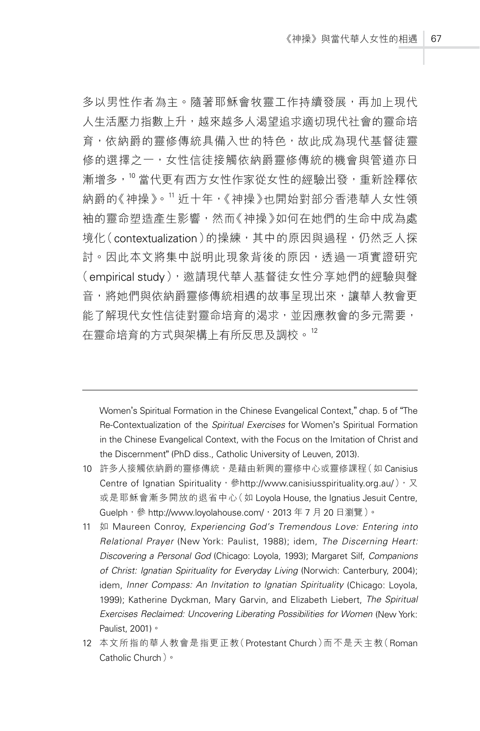多以男性作者為主。隨著耶穌會牧靈工作持續發展,再加上現代 人生活壓力指數上升,越來越多人渴望追求適切現代社會的靈命培 育,依納爵的靈修傳統具備入世的特色,故此成為現代基督徒靈 修的選擇之一,女性信徒接觸依納爵靈修傳統的機會與管道亦日 漸增多,10 當代更有西方女性作家從女性的經驗出發,重新詮釋依 納爵的《神操》。<sup>11</sup> 沂十年,《神操》也開始對部分香港華人女性領 袖的靈命塑造產生影響,然而《神操》如何在她們的生命中成為處 境化(contextualization)的操練,其中的原因與過程,仍然乏人探 討。因此本文將集中説明此現象背後的原因,透過一項實證研究 (empirical study), 邀請現代華人基督徒女性分享她們的經驗與聲 音,將她們與依納爵靈修傳統相遇的故事呈現出來,讓華人教會更 能了解現代女性信徒對靈命培育的渴求,並因應教會的多元需要, 在靈命培育的方式與架構上有所反思及調校。<sup>12</sup>

Women's Spiritual Formation in the Chinese Evangelical Context," chap. 5 of "The Re-Contextualization of the *Spiritual Exercises* for Women's Spiritual Formation in the Chinese Evangelical Context, with the Focus on the Imitation of Christ and the Discernment" (PhD diss., Catholic University of Leuven, 2013).

- 10 許多人接觸依納爵的靈修傳統,是藉由新興的靈修中心或靈修課程(如 Canisius Centre of Ignatian Spirituality, 参http://www.canisiusspirituality.org.au/), 又 或是耶穌會漸多開放的退省中心(如 Loyola House, the Ignatius Jesuit Centre, Guelph, 參 http://www.loyolahouse.com/, 2013年7月20日瀏覽)。
- 11 如 Maureen Conroy, *Experiencing God's Tremendous Love: Entering into Relational Prayer* (New York: Paulist, 1988); idem, *The Discerning Heart: Discovering a Personal God* (Chicago: Loyola, 1993); Margaret Silf, *Companions of Christ: Ignatian Spirituality for Everyday Living* (Norwich: Canterbury, 2004); idem, *Inner Compass: An Invitation to Ignatian Spirituality* (Chicago: Loyola, 1999); Katherine Dyckman, Mary Garvin, and Elizabeth Liebert, *The Spiritual Exercises Reclaimed: Uncovering Liberating Possibilities for Women (New York:* Paulist, 2001)。
- 12 本文所指的華人教會是指更正教(Protestant Church)而不是天主教(Roman Catholic Church)。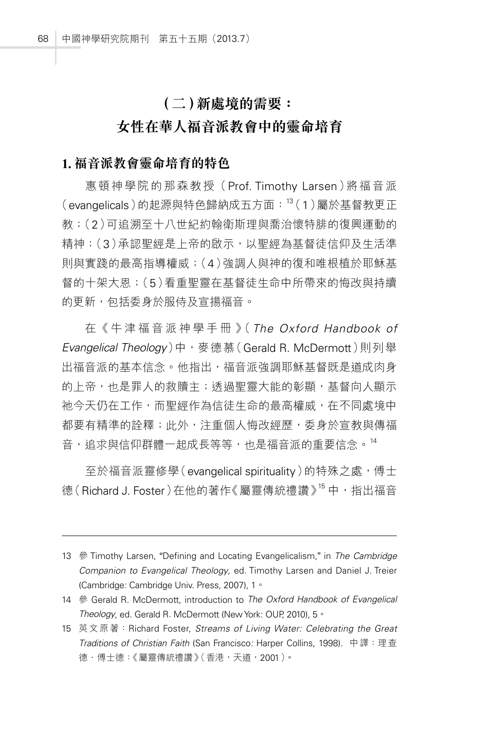# **(二)新處境的需要:**

# **女性在華人福音派教會中的靈命培育**

### **1. 福音派教會靈命培育的特色**

惠頓神學院的那森教授(Prof. Timothy Larsen)將福音派  $($ evangelicals)的起源與特色歸納成五方面: $^{13}$  $(1)$ 屬於基督教更正 教;(2)可追溯至十八世紀約翰衛斯理與喬治懷特腓的復興運動的 精神;(3)承認聖經是上帝的啟示,以聖經為基督徒信仰及生活準 則與實踐的最高指導權威;(4)強調人與神的復和唯根植於耶穌基 督的十架大恩;(5)看重聖靈在基督徒生命中所帶來的悔改與持續 的更新,包括委身於服侍及宣揚福音。

在《 牛 津 福 音 派 神 學 手 冊 》( *The Oxford Handbook of*  Evangelical Theology)中,麥德慕(Gerald R. McDermott)則列舉 出福音派的基本信念。他指出,福音派強調耶穌基督既是道成肉身 的上帝,也是罪人的救贖主;透過聖靈大能的彰顯,基督向人顯示 祂今天仍在工作,而聖經作為信徒生命的最高權威,在不同處境中 都要有精準的詮釋;此外,注重個人悔改經歷,委身於宣教與傳福 音,追求與信仰群體一起成長等等,也是福音派的重要信念。<sup>14</sup>

至於福音派靈修學(evangelical spirituality)的特殊之處,傅士 德 (Richard J. Foster) 在他的著作《屬靈傳統禮讚》<sup>15</sup> 中, 指出福音

<sup>13</sup> 參 Timothy Larsen, "Defining and Locating Evangelicalism," in *The Cambridge Companion to Evangelical Theology*, ed. Timothy Larsen and Daniel J. Treier (Cambridge: Cambridge Univ. Press, 2007), 1。

<sup>14</sup> 參 Gerald R. McDermott, introduction to *The Oxford Handbook of Evangelical Theology*, ed. Gerald R*.* McDermott (NewYork: OUP, 2010), 5。

<sup>15</sup> 英文原著:Richard Foster, *Streams of Living Water: Celebrating the Great Traditions of Christian Faith* (San Francisco*:* Harper Collins, 1998). 中譯:理查 德·傅士德:《屬靈傳統禮讚》(香港,天道,2001)。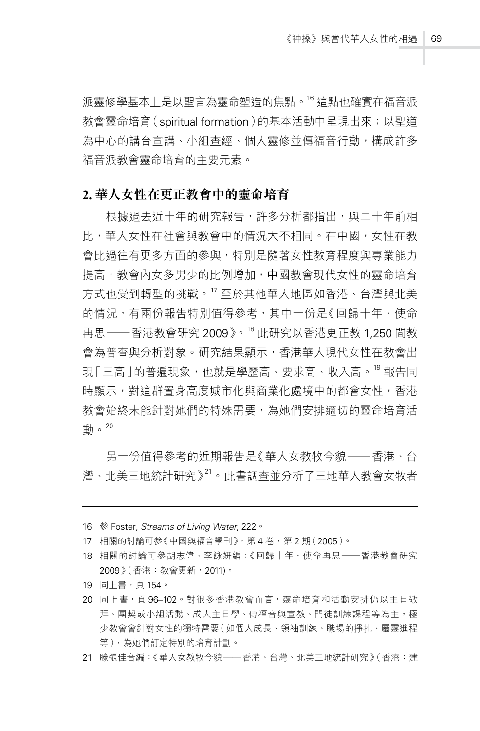派靈修學基本上是以聖言為靈命塑造的焦點。"道點也確實在福音派 教會靈命培育(spiritual formation)的基本活動中呈現出來;以聖道 為中心的講台宣講、小組杳經、個人靈修並傳福音行動,構成許多 福音派教會靈命培育的主要元素。

### **2. 華人女性在更正教會中的靈命培育**

根據過去近十年的研究報告,許多分析都指出,與二十年前相 比,華人女性在社會與教會中的情況大不相同。在中國,女性在教 會比過往有更多方面的參與,特別是隨著女性教育程度與專業能力 提高,教會內女多男少的比例增加,中國教會現代女性的靈命培育 方式也受到轉型的挑戰。<sup>17</sup> 至於其他華人地區如香港、台灣與北美 的情況,有兩份報告特別值得參考,其中一份是《回歸十年.使命 再思——香港教會研究 2009》。<sup>18</sup> 此研究以香港更正教 1,250 間教 會為普查與分析對象。研究結果顯示,香港華人現代女性在教會出 現「三高 |的普遍現象,也就是學歷高、要求高、收入高。<sup>19</sup> 報告同 時顯示,對這群置身高度城市化與商業化處境中的都會女性,香港 教會始終未能針對她們的特殊需要,為她們安排滴切的靈命培育活 動。20

另一份值得參考的近期報告是《華人女教牧今貌——香港、台 灣、北美三地統計研究》<sup>21</sup>。此書調查並分析了三地華人教會女牧者

- 16 參 Foster*, Streams of Living Water*, 222。
- 17 相關的討論可參《中國與福音學刊》,第4卷,第2期(2005)。
- 18 相關的討論可參胡志偉、李詠妍編:《回歸十年.使命再思——香港教會研究 2009》(香港:教會更新,2011)。
- 19 同上書,頁 154。
- 20 同上書,頁 96-102。對很多香港教會而言,靈命培育和活動安排仍以主日敬 拜、團契或小組活動、成人主日學、傳福音與宣教、門徒訓練課程等為主。極 少教會會針對女性的獨特需要(如個人成長、領袖訓練、職場的掙扎、屬靈進程 等),為她們訂定特別的培育計劃。
- 21 滕張佳音編:《華人女教牧今貌——香港、台灣、北美三地統計研究》(香港:建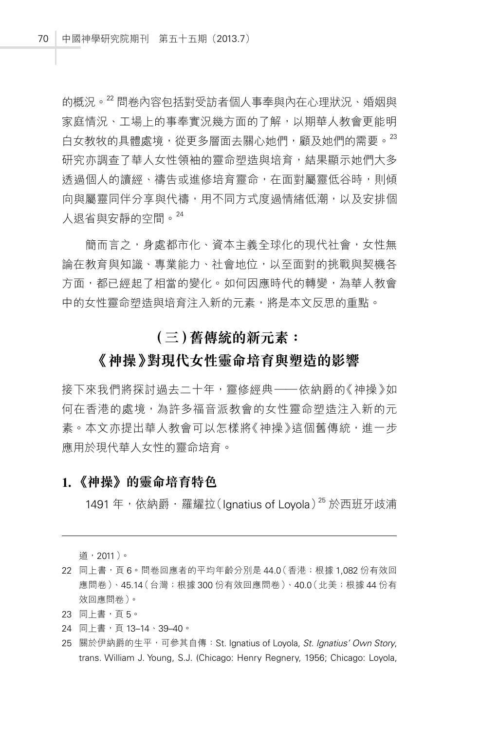的概況。<sup>22</sup> 問卷內容包括對受訪者個人事奉與內在心理狀況、婚姻與 家庭情況、工場上的事奉實況幾方面的了解,以期華人教會更能明 白女教牧的具體處境,從更多層面去關心她們,顧及她們的需要。<sup>23</sup> 研究亦調杳了華人女性領袖的靈命塑造與培育,結果顯示她們大多 诱過個人的讀經、禱告或進修培育靈命,在面對屬靈低谷時,則傾 向與屬靈同伴分享與代禱,用不同方式度過情緒低潮,以及安排個 人退省與安靜的空間。<sup>24</sup>

簡而言之,身處都市化、資本主義全球化的現代社會,女性無 論在教育與知識、專業能力、社會地位,以至面對的挑戰與契機各 方面,都已經起了相當的變化。如何因應時代的轉變,為華人教會 中的女性靈命塑造與培育注入新的元素,將是本文反思的重點。

# **(三)舊傳統的新元素:**

## **《神操》對現代女性靈命培育與塑造的影響**

接下來我們將探討過去二十年,靈修經典——依納爵的《神操》如 何在香港的處境,為許多福音派教會的女性靈命塑造注入新的元 素。本文亦提出華人教會可以怎樣將《神操》這個舊傳統,谁一步 應用於現代華人女性的靈命培育。

#### **1. 《神操》的靈命培育特色**

1491 年, 依納爵 · 羅耀拉(Ignatius of Loyola)<sup>25</sup> 於西班牙歧浦

道,2011)。

- 22 同上書,頁 6。問卷回應者的平均年齡分別是 44.0 (香港;根據 1,082 份有效回 應問卷)、45.14(台灣;根據 300 份有效回應問卷)、40.0(北美;根據 44 份有 效回應問卷)。
- 23 同上書,頁 5。
- 24 同上書,頁 13-14、39-40。
- 25 關於伊納爵的生平,可參其自傳:St. Ignatius of Loyola, *St. Ignatius' Own Story*, trans. William J. Young, S.J. (Chicago: Henry Regnery, 1956; Chicago: Loyola,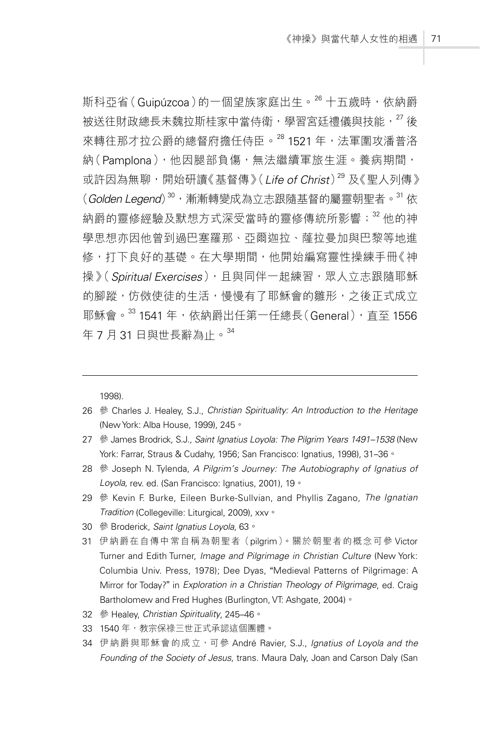斯科亞省(Guipúzcoa)的一個望族家庭出生。<sup>26</sup> 十五歲時,依納爵 被送往財政總長未魏拉斯桂家中當侍衛, 學習宮廷禮儀與技能, <sup>27</sup> 後 來轉往那才拉公爵的總督府擔任侍臣。<sup>28</sup>1521 年,法軍圍攻潘普洛 納(Pamplona),他因腿部負傷,無法繼續軍旅生涯。養病期間, 或許因為無聊,開始研讀《基督傳》(*Life of Christ*)<sup>29</sup> 及《聖人列傳》 (*Golden Legend*)<sup>30</sup>,漸漸轉變成為立志跟隨基督的屬靈朝聖者。<sup>31</sup> 依 納爵的靈修經驗及默想方式深受當時的靈修傳統所影響; <sup>32</sup> 他的神 學思想亦因他曾到過巴塞羅那、亞爾迦拉、薩拉曼加與巴黎等地進 修,打下良好的基礎。在大學期間,他開始編寫靈性操練手冊《神 操》(Spiritual Exercises),且與同伴一起練習,眾人立志跟隨耶穌 的腳蹤,仿傚使徒的生活,慢慢有了耶穌會的雛形,之後正式成立 耶穌會。<sup>33</sup> 1541 年,依納爵出任第一任總長(General),直至 1556 年 7 月 31 日與世長辭為止。<sup>34</sup>

1998).

- 26 參 Charles J. Healey, S.J., *Christian Spirituality: An Introduction to the Heritage* (NewYork: Alba House, 1999), 245。
- 27 參 James Brodrick, S.J., *Saint Ignatius Loyola: The Pilgrim Years 1491–1538* (New York: Farrar, Straus & Cudahy, 1956; San Francisco: Ignatius, 1998), 31–36。
- 28 參 Joseph N. Tylenda, *A Pilgrim's Journey: The Autobiography of Ignatius of Loyola,* rev. ed. (San Francisco: Ignatius, 2001), 19。
- 29 參 Kevin F. Burke, Eileen Burke-Sullvian, and Phyllis Zagano, *The Ignatian Tradition* (Collegeville: Liturgical, 2009), xxv。
- 30 參 Broderick, *Saint Ignatius Loyola*, 63。
- 31 伊納爵在自傳中常自稱為朝聖者(pilgrim)。關於朝聖者的概念可參 Victor Turner and Edith Turner, *Image and Pilgrimage in Christian Culture* (New York: Columbia Univ. Press, 1978); Dee Dyas, "Medieval Patterns of Pilgrimage: A Mirror for Today?" in *Exploration in a Christian Theology of Pilgrimage*, ed. Craig Bartholomew and Fred Hughes (Burlington, VT: Ashgate, 2004) 。
- 32 參 Healey, *Christian Spirituality*, 245–46。
- 33 1540 年,教宗保祿三世正式承認這個團體。
- 34 伊納爵與耶穌會的成立,可參 André Ravier, S.J., *Ignatius of Loyola and the Founding of the Society of Jesus*, trans. Maura Daly, Joan and Carson Daly (San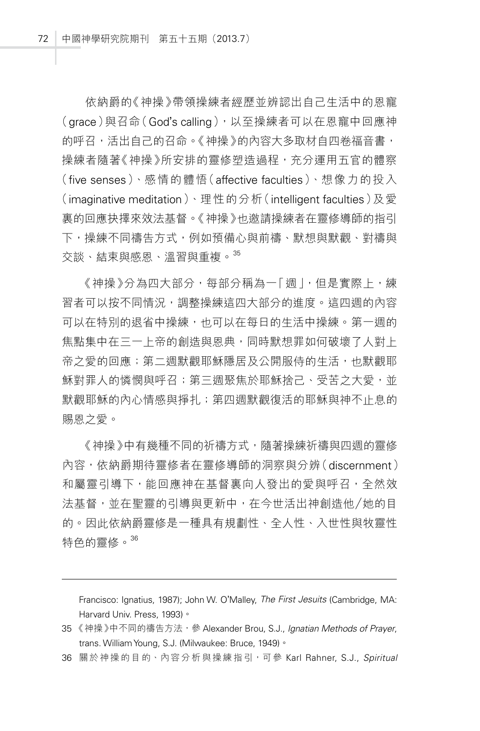依納爵的《神操》帶領操練者經歷並辨認出自己生活中的恩寵 (grace)與召命(God's calling),以至操練者可以在恩寵中回應神 的呼召,活出自己的召命。《神操》的內容大多取材自四卷福音書, 操練者隨著《神操》所安排的靈修塑造過程,充分運用五官的體察 (five senses)、感情的體悟(affective faculties)、想像力的投入 (imaginative meditation)、理性的分析(intelligent faculties)及愛 裏的回應抉擇來效法基督。《神操》也邀請操練者在靈修導師的指引 下,操練不同禱告方式,例如預備心與前禱、默想與默觀、對禱與 交談、結束與感恩、溫習與重複。<sup>35</sup>

《神操》分為四大部分,每部分稱為一「 週 |, 但是實際 上, 練 習者可以按不同情況,調整操練這四大部分的進度。這四週的內容 可以在特別的退省中操練,也可以在每日的生活中操練。第一调的 焦點集中在三一上帝的創造與恩典,同時默想罪如何破壞了人對上 帝之愛的回應;第二週默觀耶穌隱居及公開服侍的生活,也默觀耶 穌對罪人的憐憫與呼召;第三週聚焦於耶穌捨己、受苦之大愛,並 默觀耶穌的內心情感與掙扎; 第四週默觀復活的耶穌與神不止息的 賜恩之愛。

《神操》中有幾種不同的祈禱方式,隨著操練祈禱與四週的靈修 內容,依納爵期待靈修者在靈修導師的洞察與分辨(discernment) 和屬靈引導下,能回應神在基督裏向人發出的愛與呼召,全然效 法基督,並在聖靈的引導與更新中,在今世活出神創造他/她的目 的。因此依納爵靈修是一種具有規劃性、全人性、入世性與牧靈性 特色的靈修。<sup>36</sup>

Francisco: Ignatius, 1987); John W. O'Malley, *The First Jesuits* (Cambridge, MA: Harvard Univ. Press, 1993)。

36 關於神操的目的、內容分析與操練指引,可參 Karl Rahner, S.J., *Spiritual* 

<sup>35 《</sup>神操》中不同的禱告方法, 參 Alexander Brou, S.J., *Ignatian Methods of Prayer*, trans. WilliamYoung, S.J. (Milwaukee: Bruce, 1949)。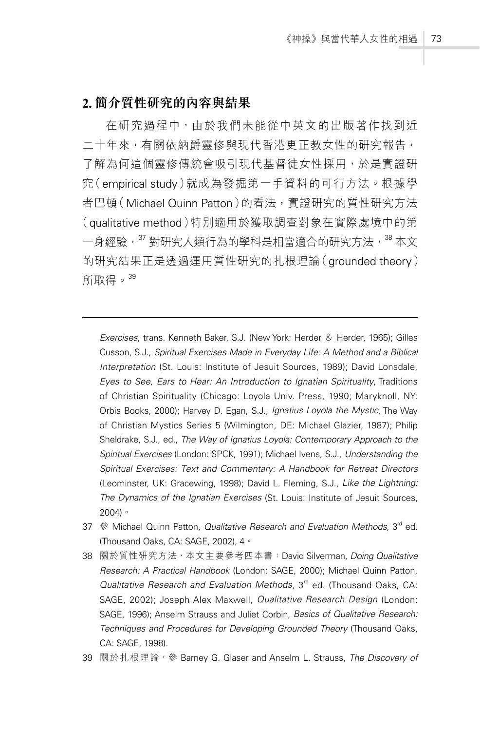### **2. 簡介質性研究的內容與結果**

在研究過程中,由於我們未能從中英文的出版著作找到近 二十年來,有關依納爵靈修與現代香港更正教女性的研究報告, 了解為何這個靈修傳統會吸引現代基督徒女性採用,於是實證研 究(empirical study)就成為發掘第一手資料的可行方法。根據學 者巴頓(Michael Quinn Patton)的看法**,**實證研究的質性研究方法 (qualitative method)特別適用於獲取調查對象在實際處境中的第 一身經驗,<sup>37</sup> 對研究人類行為的學科是相當適合的研究方法,<sup>38</sup> 本文 的研究結果正是透過運用質性研究的扎根理論(grounded theory) 所取得。<sup>39</sup>

*Exercises*, trans. Kenneth Baker, S.J. (New York: Herder & Herder, 1965); Gilles Cusson, S.J., *Spiritual Exercises Made in Everyday Life: A Method and a Biblical Interpretation* (St. Louis: Institute of Jesuit Sources, 1989); David Lonsdale, *Eyes to See, Ears to Hear: An Introduction to Ignatian Spirituality*, Traditions of Christian Spirituality (Chicago: Loyola Univ. Press, 1990; Maryknoll, NY: Orbis Books, 2000); Harvey D. Egan, S.J., *Ignatius Loyola the Mystic*, The Way of Christian Mystics Series 5 (Wilmington, DE: Michael Glazier, 1987); Philip Sheldrake, S.J., ed., *The Way of Ignatius Loyola: Contemporary Approach to the Spiritual Exercises* (London: SPCK, 1991); Michael Ivens, S.J., *Understanding the Spiritual Exercises: Text and Commentary: A Handbook for Retreat Directors* (Leominster, UK: Gracewing, 1998); David L. Fleming, S.J., *Like the Lightning: The Dynamics of the Ignatian Exercises* (St. Louis: Institute of Jesuit Sources, 2004)。

- 37 參 Michael Quinn Patton, *Qualitative Research and Evaluation Methods*, 3rd ed. (Thousand Oaks, CA: SAGE, 2002), 4。
- 38 關於質性研究方法,本文主要參考四本書:David Silverman, *Doing Qualitative Research: A Practical Handbook* (London: SAGE, 2000); Michael Quinn Patton, *Qualitative Research and Evaluation Methods*, 3rd ed. (Thousand Oaks, CA: SAGE, 2002); Joseph Alex Maxwell, *Qualitative Research Design* (London: SAGE, 1996); Anselm Strauss and Juliet Corbin, *Basics of Qualitative Research: Techniques and Procedures for Developing Grounded Theory* (Thousand Oaks, CA: SAGE, 1998).
- 39 關於扎根理論,參 Barney G*.* Glaser and Anselm L*.* Strauss, *The Discovery of*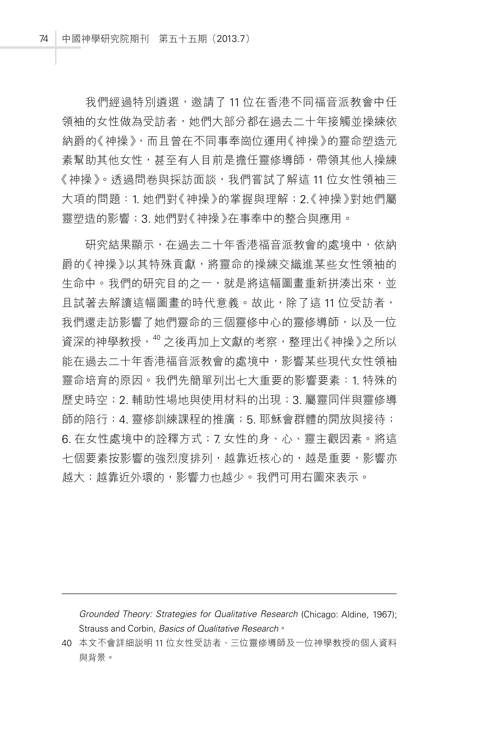我們經過特別遴選,邀請了11位在香港不同福音派教會中任 領袖的女性做為受訪者,她們大部分都在過去二十年接觸並操練依 納爵的《神操》,而且曾在不同事奉崗位運用《神操》的靈命塑造元 素幫助其他女性,甚至有人目前是擔任靈修導師,帶領其他人操練 《神操》。透過問卷與採訪面談,我們嘗試了解這 11 位女性領袖三 大項的問題: 1. 她們對《神操》的掌握與理解; 2. 《神操》對她們屬 靈塑造的影響;3. 她們對《神操》在事奉中的整合與應用。

研究結果顯示,在過去二十年香港福音派教會的處境中,依納 爵的《神操》以其特殊貢獻,將靈命的操練交織進某些女性領袖的 生命中。我們的研究目的之一,就是將這幅圖書重新拼湊出來,並 且試著去解讀這幅圖畫的時代意義。故此,除了這11位受訪者, 我們還走訪影響了她們靈命的三個靈修中心的靈修導師,以及一位 資深的神學教授,  $^{40}$  之後再加上文獻的考察, 整理出《神操》之所以 能在過去二十年香港福音派教會的處境中,影響某些現代女性領袖 靈命培育的原因。我們先簡單列出七大重要的影響要素:1. 特殊的 歷史時空;2. 輔助性場地與使用材料的出現;3. 屬靈同伴與靈修導 師的陪行;4. 靈修訓練課程的推廣;5. 耶穌會群體的開放與接待; 6. 在女性處境中的詮釋方式;7. 女性的身、心、靈主觀因素。將這 七個要素按影響的強烈度排列,越靠近核心的,越是重要,影響亦 越大;越靠近外環的,影響力也越少。我們可用右圖來表示。

*Grounded Theory: Strategies for Qualitative Research* (Chicago: Aldine, 1967); Strauss and Corbin, *Basics of Qualitative Research*。

<sup>40</sup> 本文不會詳細說明 11 位女性受訪者、三位靈修導師及一位神學教授的個人資料 與背景。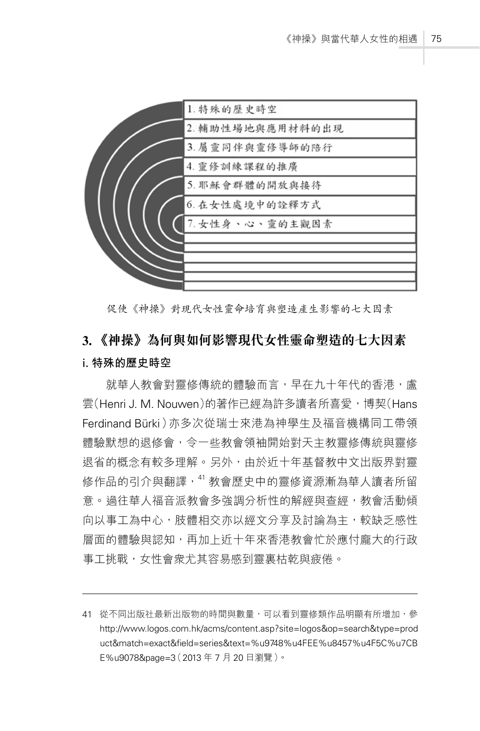

促使《神操》對現代女性靈命培育與塑造產生影響的七大因素

# **3. 《神操》為何與如何影響現代女性靈命塑造的七大因素** i. **特殊的歷史時空**

就華人教會對靈修傳統的體驗而言,早在九十年代的香港,盧 雲(Henri J. M. Nouwen)的著作已經為許多讀者所喜愛,博契(Hans Ferdinand Bürki)亦多次從瑞士來港為神學生及福音機構同工帶領 體驗默想的退修會,今一些教會領袖開始對天主教靈修傳統與靈修 退省的概念有較多理解。另外,由於近十年基督教中文出版界對靈 修作品的引介與翻譯, 41 教會歷史中的靈修資源漸為華人讀者所留 意。過往華人福音派教會多強調分析性的解經與查經,教會活動傾 向以事工為中心,肢體相交亦以經文分享及討論為主,較缺乏感性 層面的體驗與認知,再加上近十年來香港教會忙於應付龐大的行政 事工挑戰,女性會衆尤其容易感到靈裏枯乾與疲倦。

<sup>41</sup> 從不同出版社最新出版物的時間與數量,可以看到靈修類作品明顯有所增加,參 http://www.logos.com.hk/acms/content.asp?site=logos&op=search&type=prod uct&match=exact&field=series&text=%u9748%u4FEE%u8457%u4F5C%u7CB E%u9078&page=3(2013 年 7 月 20 日瀏覽)。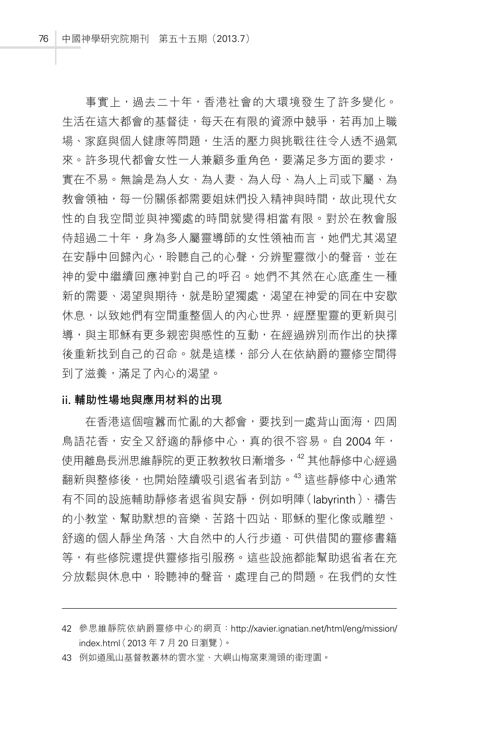事實上,過去二十年,香港社會的大環境發生了許多變化。 生活在這大都會的基督徒,每天在有限的資源中競爭,若再加上職 場、家庭與個人健康等問題,生活的壓力與挑戰往往令人透不過氣 來。許多現代都會女性一人兼顧多重角色,要滿足多方面的要求, 實在不易。無論是為人女、為人妻、為人母、為人上司或下屬、為 教會領袖,每一份關係都需要姐妹們投入精神與時間,故此現代女 性的自我空間並與神獨處的時間就變得相當有限。對於在教會服 侍超過二十年,身為多人屬靈導師的女性領袖而言,她們尤其渴望 在安靜中回歸內心,聆聽自己的心聲,分辨聖靈微小的聲音,並在 神的愛中繼續回應神對自己的呼召。她們不其然在心底產生一種 新的需要、渴望與期待,就是盼望獨處,渴望在神愛的同在中安歇 休息,以致她們有空間重整個人的內心世界,經歷聖靈的更新與引 導,與主耶穌有更多親密與感性的互動,在經過辨別而作出的抉擇 後重新找到自己的召命。就是這樣,部分人在依納爵的靈修空間得 到了滋養,滿足了內心的渴望。

#### ii. **輔助性場地與應用材料的出現**

在香港這個喧囂而忙亂的大都會,要找到一處背山面海,四周 鳥語花香,安全又舒適的靜修中心,真的很不容易。自 2004 年, 使用離島長洲思維靜院的更正教教牧日漸增多,  $^{42}$ 其他靜修中心經過 翻新與整修後,也開始陸續吸引退省者到訪。<sup>43</sup> 這些靜修中心通常 有不同的設施輔助靜修者退省與安靜,例如明陣(labyrinth)、禱告 的小教堂、幫助默想的音樂、苦路十四站、耶穌的聖化像或雕塑、 舒適的個人靜坐角落、大自然中的人行步道、可供借閱的靈修書籍 等,有些修院還提供靈修指引服務。這些設施都能幫助退省者在充 分放鬆與休息中,聆聽神的聲音,處理自己的問題。在我們的女性

<sup>42</sup> 參思維靜院依納爵靈修中心的網頁:http://xavier.ignatian.net/html/eng/mission/ index.html (2013年7月20日瀏覽)。

<sup>43</sup> 例如道風山基督教叢林的雲水堂、大嶼山梅窩東灣頭的衛理園。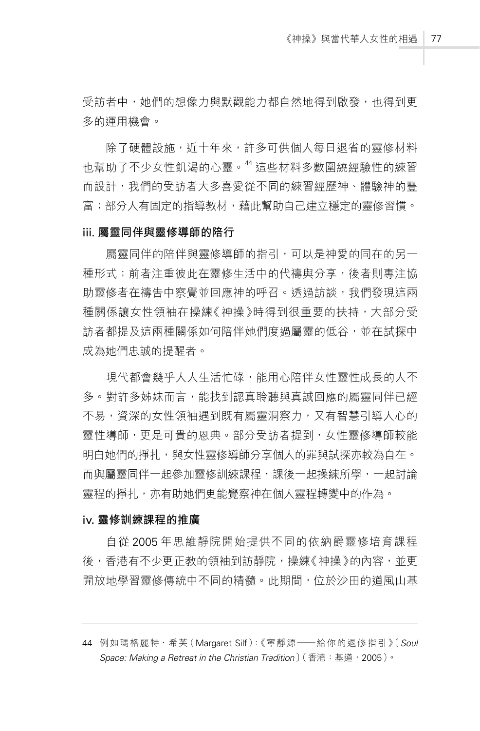受訪者中,她們的想像力與默觀能力都自然地得到啟發,也得到更 多的運用機會。

除了硬體設施,近十年來,許多可供個人每日退省的靈修材料 也幫助了不少女性飢渴的心靈。<sup>44</sup> 這些材料多數圍繞經驗性的練習 而設計,我們的受訪者大多喜愛從不同的練習經歷神、體驗神的豐 富;部分人有固定的指導教材,藉此幫助自己建立穩定的靈修習慣。

#### iii. **屬靈同伴與靈修導師的陪行**

屬靈同伴的陪伴與靈修導師的指引,可以是神愛的同在的另一 種形式;前者注重彼此在靈修生活中的代禱與分享,後者則專注協 助靈修者在禱告中察覺並回應神的呼召。诱渦訪談,我們發現這兩 種關係讓女性領袖在操練《神操》時得到很重要的扶持,大部分受 訪者都提及這兩種關係如何陪伴她們度過屬靈的低谷,並在試探中 成為她們忠誠的提醒者。

現代都會幾乎人人生活忙碌,能用心陪伴女性靈性成長的人不 多。對許多姊妹而言,能找到認直聆聽與直誠回應的屬靈同伴已經 不易,資深的女性領袖遇到既有屬靈洞察力,又有智慧引導人心的 靈性導師,更是可貴的恩典。部分受訪者提到,女性靈修導師較能 明白她們的掙扎,與女性靈修導師分享個人的罪與試探亦較為自在。 而與屬靈同伴一起參加靈修訓練課程,課後一起操練所學,一起討論 靈程的掙扎,亦有助她們更能覺察神在個人靈程轉變中的作為。

#### iv. **靈修訓練課程的推廣**

自從 2005 年思維靜院開始提供不同的依納爵靈修培育課程 後,香港有不少更正教的領袖到訪靜院,操練《神操》的內容,並更 開放地學習靈修傳統中不同的精髓。此期間,位於沙田的道風山基

<sup>44</sup> 例如瑪格麗特.希芙(Margaret Silf):《寧靜源——給你的退修指引》〔*Soul Space: Making a Retreat in the Christian Tradition*〕(香港:基道,2005)。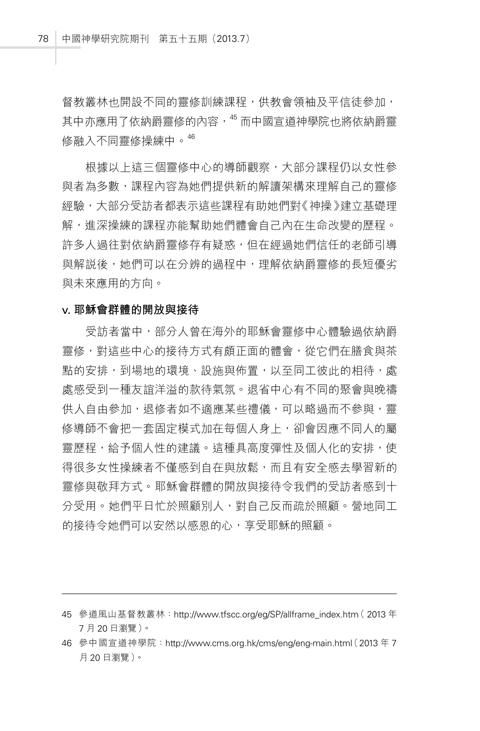督教叢林也開設不同的靈修訓練課程,供教會領袖及平信徒參加, 其中亦應用了依納爵靈修的內容,  $^{45}$  而中國宣道神學院也將依納爵靈 修融入不同靈修操練中。<sup>46</sup>

根據以上這三個靈修中心的導師觀察,大部分課程仍以女性參 與者為多數,課程內容為她們提供新的解讀架構來理解自己的靈修 經驗,大部分受訪者都表示這些課程有助她們對《神操》建立基礎理 解,進深操練的課程亦能幫助她們體會自己內在生命改變的歷程。 許多人過往對依納爵靈修存有疑惑,但在經過她們信任的老師引導 與解説後,她們可以在分辨的過程中,理解依納爵靈修的長短優劣 與未來應用的方向。

#### v. **耶穌會群體的開放與接待**

受訪者當中,部分人曾在海外的耶穌會靈修中心體驗過依納爵 靈修,對這些中心的接待方式有頗正面的體會,從它們在膳食與茶 **點的安排,到場地的環境、設施與佈置,以至同工彼此的相待,處** 處感受到一種友誼洋溢的款待氣氛。退省中心有不同的聚會與晚禱 供人自由參加,退修者如不滴應某些禮儀,可以略過而不參與,靈 修導師不會把一套固定模式加在每個人身上,卻會因應不同人的屬 靈歷程,給予個人性的建議。這種具高度彈性及個人化的安排,使 得很多女性操練者不僅感到自在與放鬆,而且有安全感去學習新的 靈修與敬拜方式。耶穌會群體的開放與接待令我們的受訪者感到十 分受用。她們平日忙於照顧別人,對自己反而疏於照顧。營地同工 的接待令她們可以安然以感恩的心,享受耶穌的照顧。

<sup>45</sup> 參道風山基督教叢林:http://www.tfscc.org/eg/SP/allframe\_index.htm( 2013 年 7 月 20 日瀏覽)。

<sup>46</sup> 參中國宣道神學院:http://www.cms.org.hk/cms/eng/eng-main.htm(l 2013 年 7 月 20 日瀏覽)。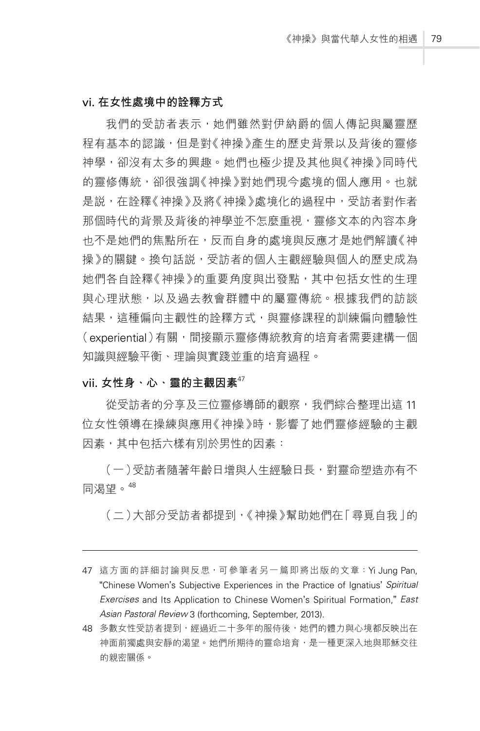#### vi. **在女性處境中的詮釋方式**

我們的受訪者表示,她們雖然對伊納爵的個人傳記與屬靈歷 程有基本的認識,但是對《神操》產生的歷史背景以及背後的靈修 神學,卻沒有太多的興趣。她們也極少提及其他與《神操》同時代 的靈修傳統,卻很強調《神操》對她們現今處境的個人應用。也就 是說,在詮釋《神操》及將《神操》處境化的過程中,受訪者對作者 那個時代的背景及背後的神學並不怎麼重視,靈修文本的內容本身 也不是她們的焦點所在,反而自身的處境與反應才是她們解讀《神 操》的關鍵。換句話説,受訪者的個人主觀經驗與個人的歷史成為 她們各自詮釋《神操》的重要角度與出發點,其中包括女性的生理 與心理狀態,以及過去教會群體中的屬靈傳統。根據我們的訪談 結果,這種偏向主觀性的詮釋方式,與靈修課程的訓練偏向體驗性 (experiential)有關,間接顯示靈修傳統教育的培育者需要建構一個 知識與經驗平衡、理論與實踐並重的培育過程。

### vii. **女性身、心、靈的主觀因素**<sup>47</sup>

從受訪者的分享及三位靈修導師的觀察,我們綜合整理出這 11 位女性領導在操練與應用《神操》時,影響了她們靈修經驗的主觀 因素,其中包括六樣有別於男性的因素:

(一)受訪者隨著年齡日增與人生經驗日長,對靈命塑造亦有不 同渴望。<sup>48</sup>

(二)大部分受訪者都提到,《神操》幫助她們在「尋覓自我」的

<sup>47</sup> 這方面的詳細討論與反思,可參筆者另一篇即將出版的文章:Yi Jung Pan, "Chinese Women's Subjective Experiences in the Practice of Ignatius' *Spiritual Exercises* and Its Application to Chinese Women's Spiritual Formation," *East Asian Pastoral Review* 3 (forthcoming, September, 2013).

<sup>48</sup> 多數女性受訪者提到,經過近二十多年的服侍後,她們的體力與心境都反映出在 神面前獨處與安靜的渴望。她們所期待的靈命培育,是一種更深入地與耶穌交往 的親密關係。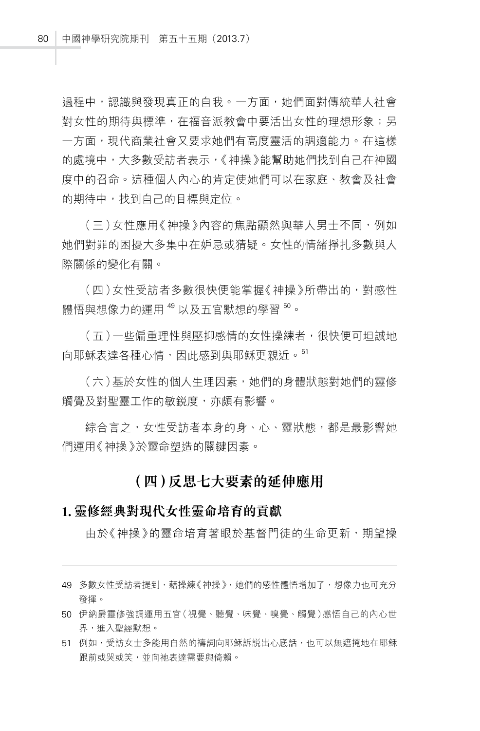過程中,認識與發現真正的自我。一方面,她們面對傳統華人社會 對女性的期待與標準,在福音派教會中要活出女性的理想形象;另 一方面,現代商業社會又要求她們有高度靈活的調滴能力。在這樣 的處境中,大多數受訪者表示,《神操》能幫助她們找到自己在神國 度中的召命。這種個人內心的肯定使她們可以在家庭、教會及社會 的期待中,找到自己的目標與定位。

(三)女性應用《神操》內容的焦點顯然與華人男士不同,例如 她們對罪的困擾大多集中在妒忌或猜疑。女性的情緒掙扎多數與人 際關係的變化有關。

(四)女性受訪者多數很快便能掌握《神操》所帶出的,對感性 體悟與想像力的運用 <sup>49</sup> 以及五官默想的學習 <sup>50</sup>。

(五)一些偏重理性與壓抑感情的女性操練者,很快便可坦誠地 向耶穌表達各種心情,因此感到與耶穌更親近。<sup>51</sup>

(六)基於女性的個人生理因素,她們的身體狀態對她們的靈修 觸覺及對聖靈工作的敏鋭度,亦頗有影響。

**綜合言之,女性受訪者本身的身、心、靈狀態,都是最影響她** 們運用《神操》於靈命塑造的關鍵因素。

## **(四)反思七大要素的延伸應用**

#### **1. 靈修經典對現代女性靈命培育的貢獻**

由於《神操》的靈命培育著眼於基督門徒的生命更新,期望操

- 49 多數女性受訪者提到,藉操練《神操》,她們的感性體悟增加了,想像力也可充分 發揮。
- 50 伊納爵靈修強調運用五官(視覺、聽覺、味覺、嗅覺、觸覺)感悟自己的內心世 界,進入聖經默想。
- 51 例如,受訪女士多能用自然的禱詞向耶穌訴説出心底話,也可以無遮掩地在耶穌 跟前或哭或笑,並向祂表達需要與倚賴。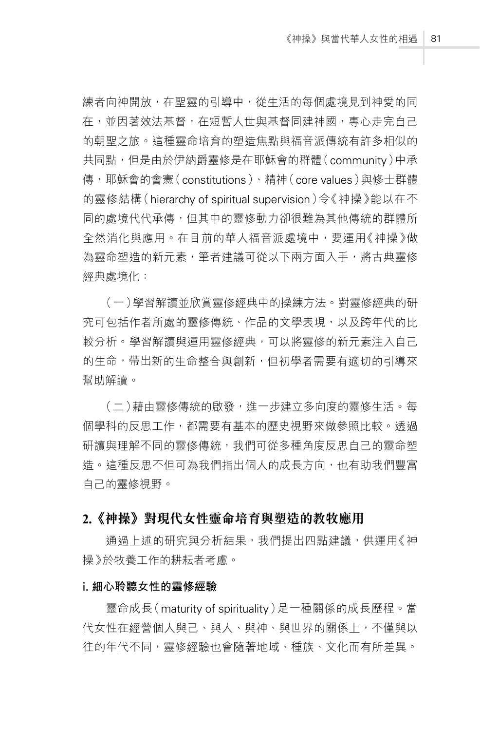練者向神開放,在聖靈的引導中,從生活的每個處境見到神愛的同 在,並因著效法基督,在短暫人世與基督同建神國,專心走完自己 的朝聖之旅。這種靈命培育的塑造焦點與福音派傳統有許多相似的 共同點,但是由於伊納爵靈修是在耶穌會的群體(community)中承 傳,耶穌會的會憲(constitutions)、精神(core values)與修士群體 的靈修結構(hierarchy of spiritual supervision)令《神操》能以在不 同的處境代代承傳,但其中的靈修動力卻很難為其他傳統的群體所 全然消化與應用。在目前的華人福音派處境中,要運用《神操》做 為靈命塑造的新元素,筆者建議可從以下兩方面入手,將古典靈修 經典處境化:

(一)學習解讀並欣賞靈修經典中的操練方法。對靈修經典的研 究可包括作者所處的靈修傳統、作品的文學表現,以及跨年代的比 較分析。學習解讀與運用靈修經典,可以將靈修的新元素注入自己 的生命,帶出新的生命整合與創新,但初學者需要有適切的引導來 幫助解讀。

(二)藉由靈修傳統的啟發,進一步建立多向度的靈修生活。每 個學科的反思工作,都需要有基本的歷史視野來做參照比較。透過 研讀與理解不同的靈修傳統,我們可從多種角度反思自己的靈命塑 造。這種反思不但可為我們指出個人的成長方向,也有助我們豐富 自己的靈修視野。

#### **2.《神操》對現代女性靈命培育與塑造的教牧應用**

通過上述的研究與分析結果,我們提出四點建議,供運用《神 操》於牧養工作的耕耘者考慮。

#### i. **細心聆聽女性的靈修經驗**

靈命成長(maturity of spirituality)是一種關係的成長歷程。當 代女性在經營個人與己、與人、與神、與世界的關係上,不僅與以 往的年代不同,靈修經驗也會隨著地域、種族、文化而有所差異。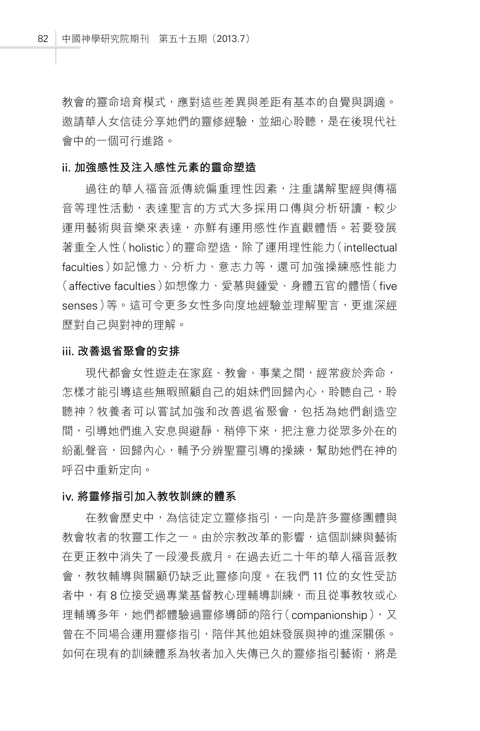教會的靈命培育模式,應對這些差異與差距有基本的自覺與調適。 邀請華人女信徒分享她們的靈修經驗,並細心聆聽,是在後現代社 會中的一個可行進路。

#### ii. **加強感性及注入感性元素的靈命塑造**

過往的華人福音派傳統偏重理性因素,注重講解聖經與傳福 音等理性活動,表達聖言的方式大多採用口傳與分析研讀,較少 運用藝術與音樂來表達,亦鮮有運用感性作直觀體悟。若要發展 著重全人性(holistic)的靈命塑造,除了運用理性能力(intellectual faculties)如記憶力、分析力、意志力等,還可加強操練感性能力 (affective faculties)如想像力、愛慕與鍾愛、身體五官的體悟(five senses)等。這可令更多女性多向度地經驗並理解聖言,更進深經 歷對自己與對神的理解。

#### iii. **改善退省聚會的安排**

現代都會女性遊走在家庭、教會、事業之間,經常疲於奔命, 怎樣才能引導這些無暇照顧自己的姐妹們回歸內心,聆聽自己,聆 聽神?牧養者可以嘗試加強和改善退省聚會,包括為她們創造空 間,引導她們進入安息與避靜,稍停下來,把注意力從眾多外在的 紛亂聲音,回歸內心,輔予分辨聖靈引導的操練,幫助她們在神的 呼召中重新定向。

#### iv. **將靈修指引加入教牧訓練的體系**

在教會歷史中,為信徒定立靈修指引,一向是許多靈修團體與 教會牧者的牧靈工作之一。由於宗教改革的影響,這個訓練與藝術 在更正教中消失了一段漫長歲月。在過去近二十年的華人福音派教 會,教牧輔導與關顧仍缺乏此靈修向度。在我們 11 位的女性受訪 者中,有 8 位接受過專業基督教心理輔導訓練,而且從事教牧或心 理輔導多年,她們都體驗過靈修導師的陪行(companionship),又 曾在不同場合運用靈修指引,陪伴其他姐妹發展與神的進深關係。 如何在現有的訓練體系為牧者加入失傳已久的靈修指引藝術,將是